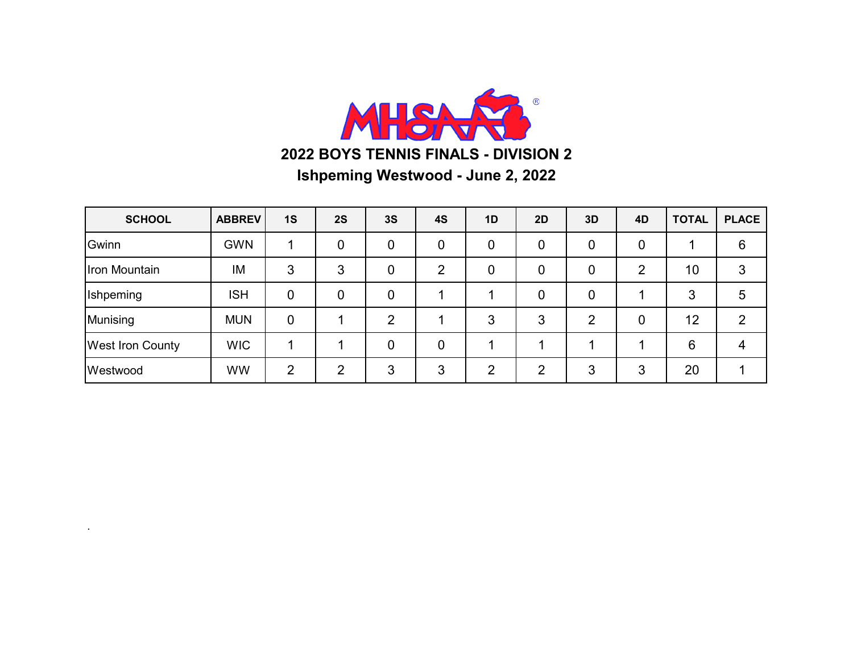

| <b>SCHOOL</b>           | <b>ABBREV</b> | 1S          | 2S | 3S             | 4S | 1D | 2D | 3D             | 4D | <b>TOTAL</b> | <b>PLACE</b> |
|-------------------------|---------------|-------------|----|----------------|----|----|----|----------------|----|--------------|--------------|
| Gwinn                   | <b>GWN</b>    |             | 0  | $\overline{0}$ | 0  | 0  | 0  | 0              | 0  |              | 6            |
| Iron Mountain           | IM            | 3           | 3  | 0              | റ  | 0  | 0  | 0              | ⌒  | 10           | 3            |
| Ishpeming               | <b>ISH</b>    | 0           | 0  | 0              |    |    | 0  | 0              |    | 3            | 5            |
| Munising                | <b>MUN</b>    | $\mathbf 0$ |    | ာ              |    | 3  | 3  | $\overline{2}$ | 0  | 12           | 2            |
| <b>West Iron County</b> | <b>WIC</b>    |             |    | $\overline{0}$ | 0  |    |    |                |    | 6            | 4            |
| Westwood                | <b>WW</b>     | 2           | റ  | 3              | 3  | ာ  | າ  | 3              | 3  | 20           |              |

.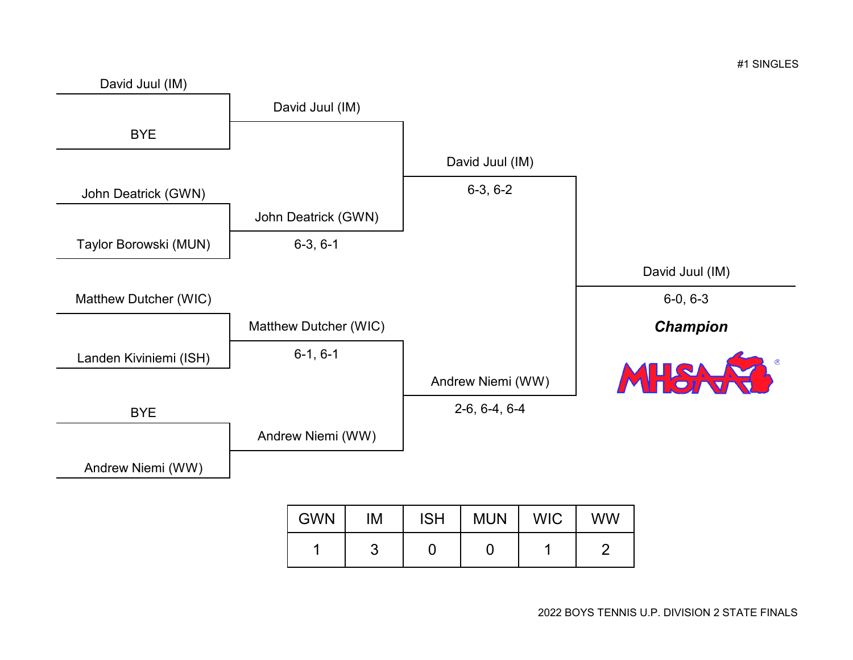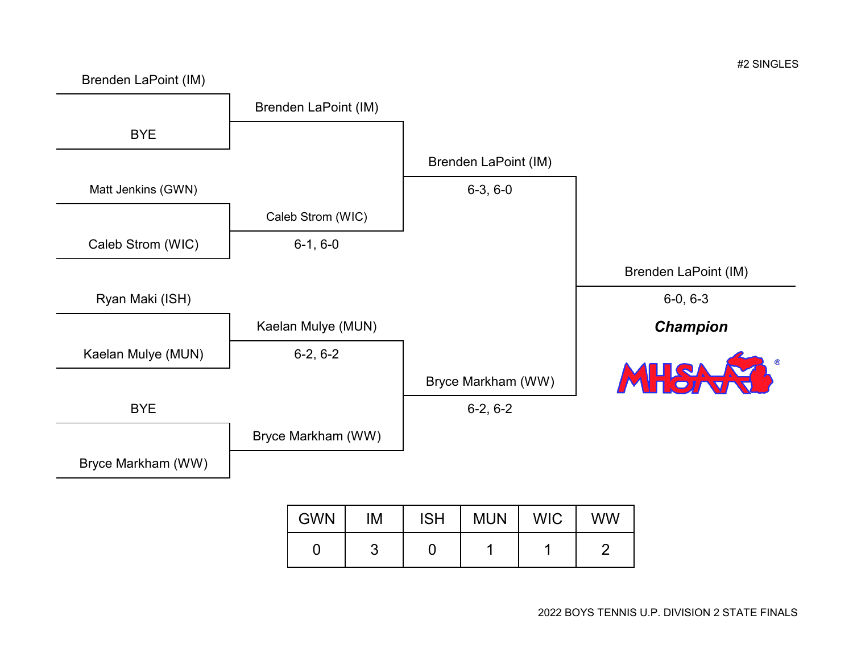

| <b>GWN</b> | IМ | ISH   MUN | WIC I | ww |
|------------|----|-----------|-------|----|
|            |    |           |       |    |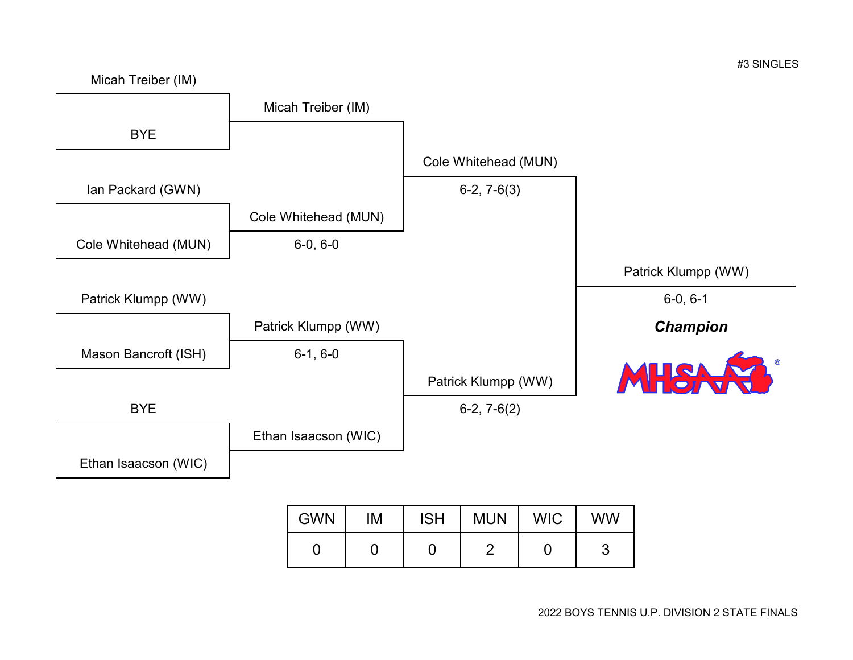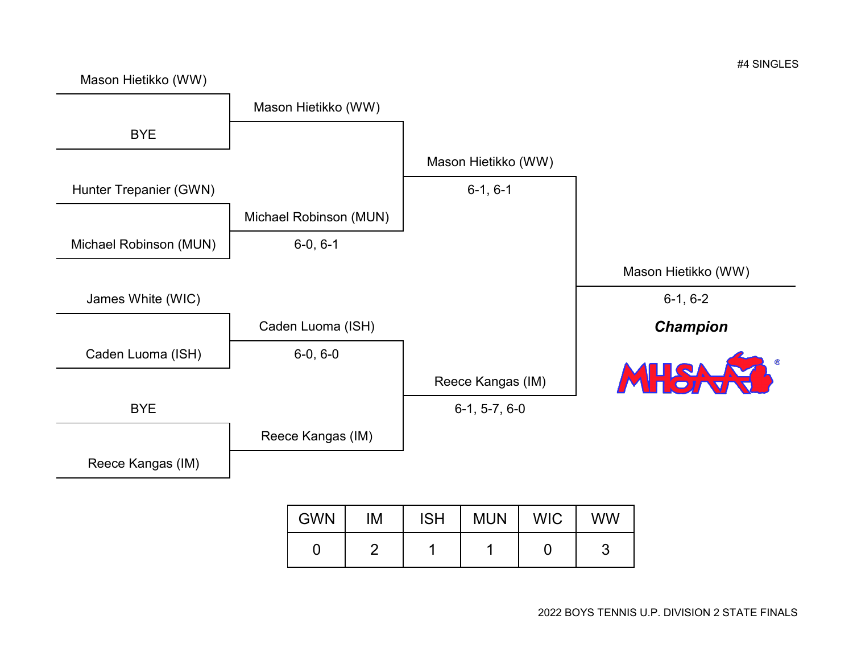

Mason Hietikko (WW)

0 | 2 | 1 | 1 | 0 | 3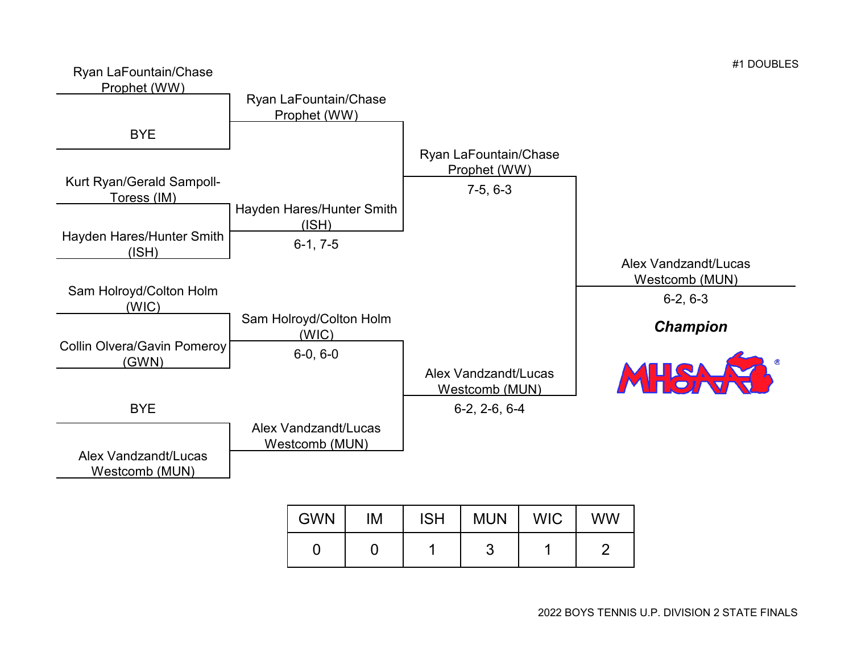

| <b>GWN</b> | M | <b>ISH</b> | <b>MUN</b> | <b>WIC</b> | <b>WW</b> |
|------------|---|------------|------------|------------|-----------|
|            |   |            |            |            |           |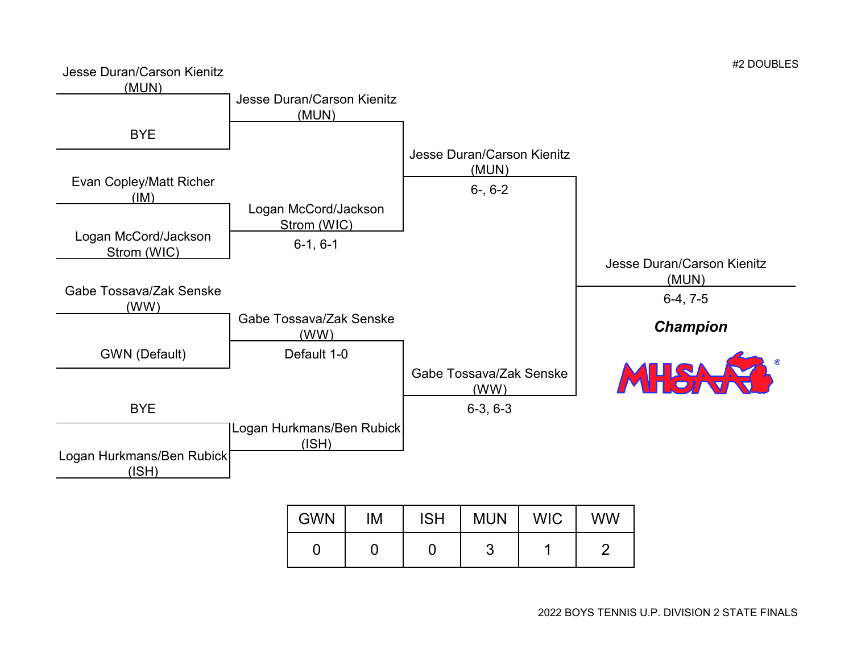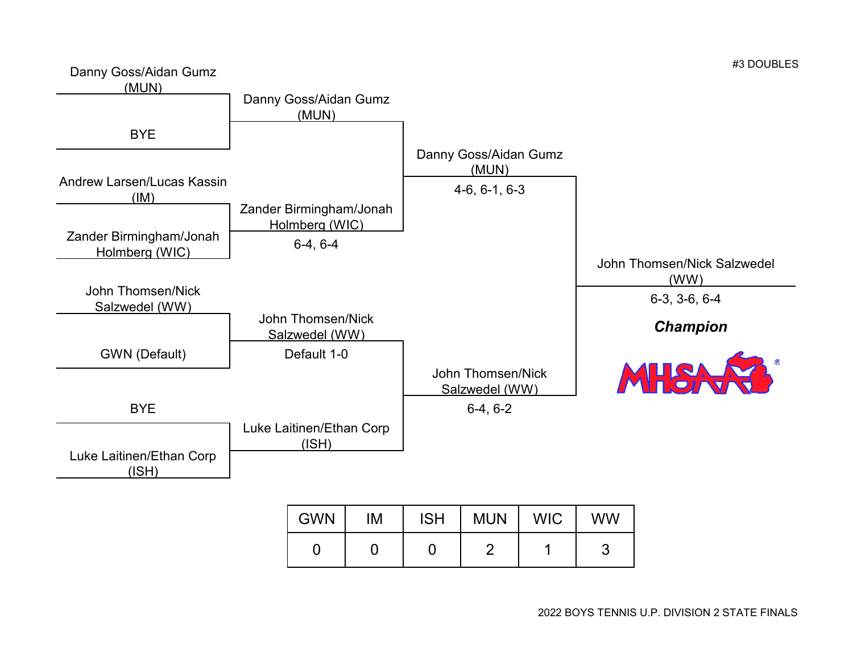